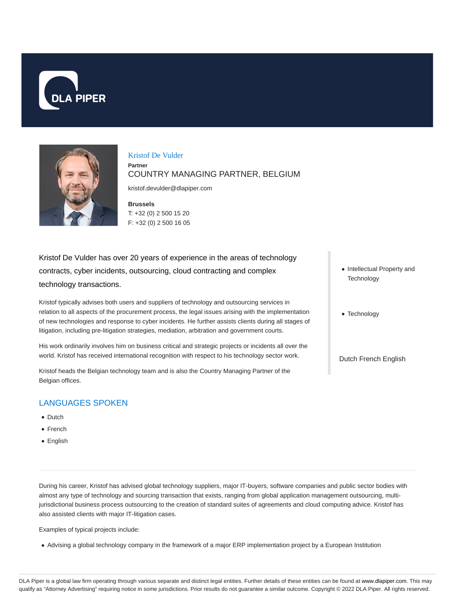



#### Kristof De Vulder

**Partner**

# COUNTRY MANAGING PARTNER, BELGIUM

kristof.devulder@dlapiper.com

**Brussels** T: +32 (0) 2 500 15 20 F: +32 (0) 2 500 16 05

Kristof De Vulder has over 20 years of experience in the areas of technology contracts, cyber incidents, outsourcing, cloud contracting and complex technology transactions.

Kristof typically advises both users and suppliers of technology and outsourcing services in relation to all aspects of the procurement process, the legal issues arising with the implementation of new technologies and response to cyber incidents. He further assists clients during all stages of litigation, including pre-litigation strategies, mediation, arbitration and government courts.

His work ordinarily involves him on business critical and strategic projects or incidents all over the world. Kristof has received international recognition with respect to his technology sector work.

Kristof heads the Belgian technology team and is also the Country Managing Partner of the Belgian offices.

# LANGUAGES SPOKEN

- Dutch
- French
- English
- Intellectual Property and **Technology**
- Technology

Dutch French English

During his career, Kristof has advised global technology suppliers, major IT-buyers, software companies and public sector bodies with almost any type of technology and sourcing transaction that exists, ranging from global application management outsourcing, multijurisdictional business process outsourcing to the creation of standard suites of agreements and cloud computing advice. Kristof has also assisted clients with major IT-litigation cases.

Examples of typical projects include:

Advising a global technology company in the framework of a major ERP implementation project by a European Institution

DLA Piper is a global law firm operating through various separate and distinct legal entities. Further details of these entities can be found at www.dlapiper.com. This may qualify as "Attorney Advertising" requiring notice in some jurisdictions. Prior results do not guarantee a similar outcome. Copyright @ 2022 DLA Piper. All rights reserved.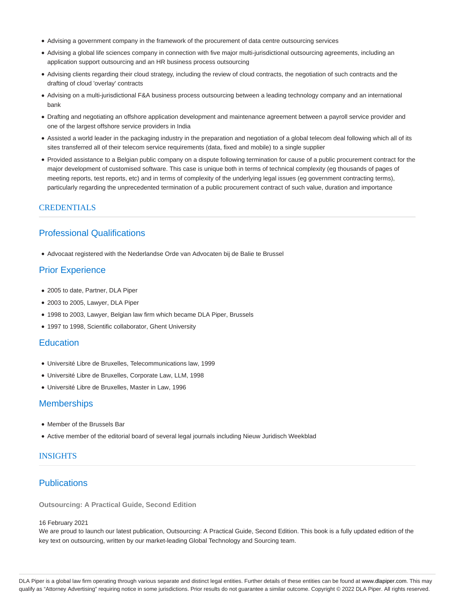- Advising a government company in the framework of the procurement of data centre outsourcing services
- Advising a global life sciences company in connection with five major multi-jurisdictional outsourcing agreements, including an application support outsourcing and an HR business process outsourcing
- Advising clients regarding their cloud strategy, including the review of cloud contracts, the negotiation of such contracts and the drafting of cloud 'overlay' contracts
- Advising on a multi-jurisdictional F&A business process outsourcing between a leading technology company and an international bank
- Drafting and negotiating an offshore application development and maintenance agreement between a payroll service provider and one of the largest offshore service providers in India
- Assisted a world leader in the packaging industry in the preparation and negotiation of a global telecom deal following which all of its sites transferred all of their telecom service requirements (data, fixed and mobile) to a single supplier
- Provided assistance to a Belgian public company on a dispute following termination for cause of a public procurement contract for the major development of customised software. This case is unique both in terms of technical complexity (eg thousands of pages of meeting reports, test reports, etc) and in terms of complexity of the underlying legal issues (eg government contracting terms), particularly regarding the unprecedented termination of a public procurement contract of such value, duration and importance

#### **CREDENTIALS**

# Professional Qualifications

Advocaat registered with the Nederlandse Orde van Advocaten bij de Balie te Brussel

# Prior Experience

- 2005 to date, Partner, DLA Piper
- 2003 to 2005, Lawyer, DLA Piper
- 1998 to 2003, Lawyer, Belgian law firm which became DLA Piper, Brussels
- 1997 to 1998, Scientific collaborator, Ghent University

#### **Education**

- Université Libre de Bruxelles, Telecommunications law, 1999
- Université Libre de Bruxelles, Corporate Law, LLM, 1998
- Université Libre de Bruxelles, Master in Law, 1996

### **Memberships**

- Member of the Brussels Bar
- Active member of the editorial board of several legal journals including Nieuw Juridisch Weekblad

### INSIGHTS

# **Publications**

**Outsourcing: A Practical Guide, Second Edition**

#### 16 February 2021

We are proud to launch our latest publication, Outsourcing: A Practical Guide, Second Edition. This book is a fully updated edition of the key text on outsourcing, written by our market-leading Global Technology and Sourcing team.